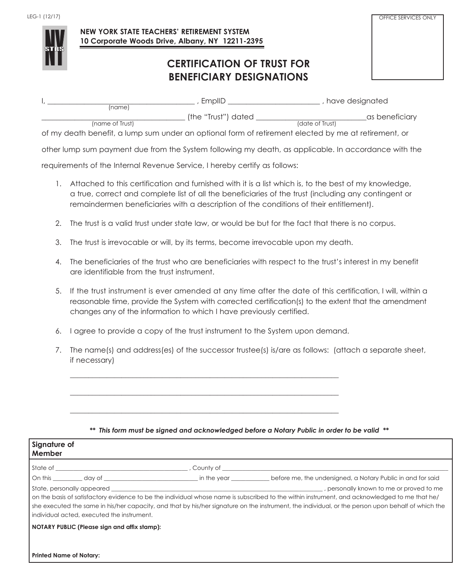STRS<br>N

## **CERTIFICATION OF TRUST FOR BENEFICIARY DESIGNATIONS**

| OFFICE SERVICES ONLY |
|----------------------|
|                      |
|                      |
|                      |
|                      |
|                      |
|                      |
|                      |
|                      |
|                      |
|                      |
|                      |

| (name)          | EmplID              | have designated                    |
|-----------------|---------------------|------------------------------------|
| (name of Trust) | (the "Trust") dated | _as beneficiary<br>(date of Trust) |

of my death benefit, a lump sum under an optional form of retirement elected by me at retirement, or

other lump sum payment due from the System following my death, as applicable. In accordance with the

requirements of the Internal Revenue Service, I hereby certify as follows:

- 1. Attached to this certification and furnished with it is a list which is, to the best of my knowledge, a true, correct and complete list of all the beneficiaries of the trust (including any contingent or remaindermen beneficiaries with a description of the conditions of their entitlement).
- 2. The trust is a valid trust under state law, or would be but for the fact that there is no corpus.
- 3. The trust is irrevocable or will, by its terms, become irrevocable upon my death.
- 4. The beneficiaries of the trust who are beneficiaries with respect to the trust's interest in my benefit are identifiable from the trust instrument.
- 5. If the trust instrument is ever amended at any time after the date of this certification, I will, within a reasonable time, provide the System with corrected certification(s) to the extent that the amendment changes any of the information to which I have previously certified.
- 6. I agree to provide a copy of the trust instrument to the System upon demand.

 $\mathcal{L}_\mathcal{L} = \mathcal{L}_\mathcal{L} = \mathcal{L}_\mathcal{L} = \mathcal{L}_\mathcal{L} = \mathcal{L}_\mathcal{L} = \mathcal{L}_\mathcal{L} = \mathcal{L}_\mathcal{L} = \mathcal{L}_\mathcal{L} = \mathcal{L}_\mathcal{L} = \mathcal{L}_\mathcal{L} = \mathcal{L}_\mathcal{L} = \mathcal{L}_\mathcal{L} = \mathcal{L}_\mathcal{L} = \mathcal{L}_\mathcal{L} = \mathcal{L}_\mathcal{L} = \mathcal{L}_\mathcal{L} = \mathcal{L}_\mathcal{L}$ 

 $\mathcal{L}_\mathcal{L} = \mathcal{L}_\mathcal{L} = \mathcal{L}_\mathcal{L} = \mathcal{L}_\mathcal{L} = \mathcal{L}_\mathcal{L} = \mathcal{L}_\mathcal{L} = \mathcal{L}_\mathcal{L} = \mathcal{L}_\mathcal{L} = \mathcal{L}_\mathcal{L} = \mathcal{L}_\mathcal{L} = \mathcal{L}_\mathcal{L} = \mathcal{L}_\mathcal{L} = \mathcal{L}_\mathcal{L} = \mathcal{L}_\mathcal{L} = \mathcal{L}_\mathcal{L} = \mathcal{L}_\mathcal{L} = \mathcal{L}_\mathcal{L}$ 

 $\mathcal{L}_\mathcal{L} = \mathcal{L}_\mathcal{L} = \mathcal{L}_\mathcal{L} = \mathcal{L}_\mathcal{L} = \mathcal{L}_\mathcal{L} = \mathcal{L}_\mathcal{L} = \mathcal{L}_\mathcal{L} = \mathcal{L}_\mathcal{L} = \mathcal{L}_\mathcal{L} = \mathcal{L}_\mathcal{L} = \mathcal{L}_\mathcal{L} = \mathcal{L}_\mathcal{L} = \mathcal{L}_\mathcal{L} = \mathcal{L}_\mathcal{L} = \mathcal{L}_\mathcal{L} = \mathcal{L}_\mathcal{L} = \mathcal{L}_\mathcal{L}$ 

7. The name(s) and address(es) of the successor trustee(s) is/are as follows: (attach a separate sheet, if necessary)

| Signature of<br>Member                                                                                                                                                                                                                                                                                                                                                                                                      |             |                                                             |  |  |
|-----------------------------------------------------------------------------------------------------------------------------------------------------------------------------------------------------------------------------------------------------------------------------------------------------------------------------------------------------------------------------------------------------------------------------|-------------|-------------------------------------------------------------|--|--|
| State of the state of the state of the state of the state of the state of the state of the state of the state                                                                                                                                                                                                                                                                                                               | . Countv of |                                                             |  |  |
| On this day of                                                                                                                                                                                                                                                                                                                                                                                                              | in the year | before me, the undersigned, a Notary Public in and for said |  |  |
| State, personally appeared<br>, personally known to me or proved to me<br>on the basis of satisfactory evidence to be the individual whose name is subscribed to the within instrument, and acknowledged to me that he/<br>she executed the same in his/her capacity, and that by his/her signature on the instrument, the individual, or the person upon behalf of which the<br>individual acted, executed the instrument. |             |                                                             |  |  |
| NOTARY PUBLIC (Please sign and affix stamp):                                                                                                                                                                                                                                                                                                                                                                                |             |                                                             |  |  |
| <b>Printed Name of Notary:</b>                                                                                                                                                                                                                                                                                                                                                                                              |             |                                                             |  |  |

## *\*\* This form must be signed and acknowledged before a Notary Public in order to be valid \*\**